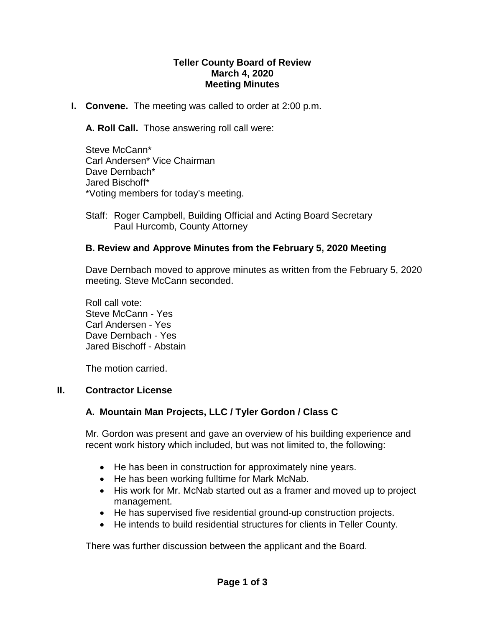#### **Teller County Board of Review March 4, 2020 Meeting Minutes**

**I. Convene.** The meeting was called to order at 2:00 p.m.

**A. Roll Call.** Those answering roll call were:

Steve McCann\* Carl Andersen\* Vice Chairman Dave Dernbach\* Jared Bischoff\* \*Voting members for today's meeting.

Staff: Roger Campbell, Building Official and Acting Board Secretary Paul Hurcomb, County Attorney

## **B. Review and Approve Minutes from the February 5, 2020 Meeting**

Dave Dernbach moved to approve minutes as written from the February 5, 2020 meeting. Steve McCann seconded.

Roll call vote: Steve McCann - Yes Carl Andersen - Yes Dave Dernbach - Yes Jared Bischoff - Abstain

The motion carried.

### **II. Contractor License**

# **A. Mountain Man Projects, LLC / Tyler Gordon / Class C**

Mr. Gordon was present and gave an overview of his building experience and recent work history which included, but was not limited to, the following:

- He has been in construction for approximately nine years.
- He has been working fulltime for Mark McNab.
- His work for Mr. McNab started out as a framer and moved up to project management.
- He has supervised five residential ground-up construction projects.
- He intends to build residential structures for clients in Teller County.

There was further discussion between the applicant and the Board.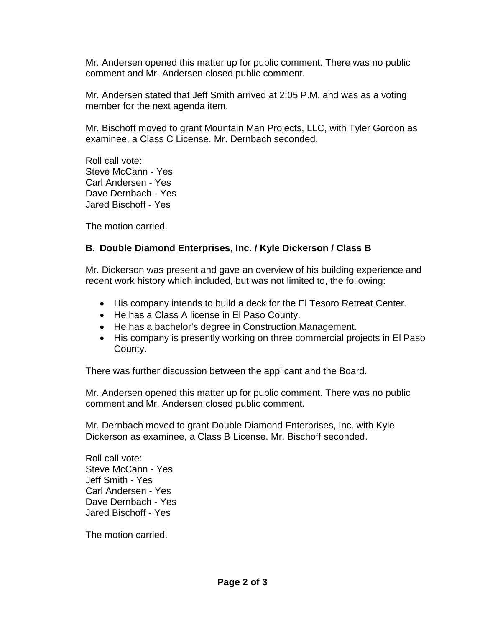Mr. Andersen opened this matter up for public comment. There was no public comment and Mr. Andersen closed public comment.

Mr. Andersen stated that Jeff Smith arrived at 2:05 P.M. and was as a voting member for the next agenda item.

Mr. Bischoff moved to grant Mountain Man Projects, LLC, with Tyler Gordon as examinee, a Class C License. Mr. Dernbach seconded.

Roll call vote: Steve McCann - Yes Carl Andersen - Yes Dave Dernbach - Yes Jared Bischoff - Yes

The motion carried.

### **B. Double Diamond Enterprises, Inc. / Kyle Dickerson / Class B**

Mr. Dickerson was present and gave an overview of his building experience and recent work history which included, but was not limited to, the following:

- His company intends to build a deck for the El Tesoro Retreat Center.
- He has a Class A license in El Paso County.
- He has a bachelor's degree in Construction Management.
- His company is presently working on three commercial projects in El Paso County.

There was further discussion between the applicant and the Board.

Mr. Andersen opened this matter up for public comment. There was no public comment and Mr. Andersen closed public comment.

Mr. Dernbach moved to grant Double Diamond Enterprises, Inc. with Kyle Dickerson as examinee, a Class B License. Mr. Bischoff seconded.

Roll call vote: Steve McCann - Yes Jeff Smith - Yes Carl Andersen - Yes Dave Dernbach - Yes Jared Bischoff - Yes

The motion carried.